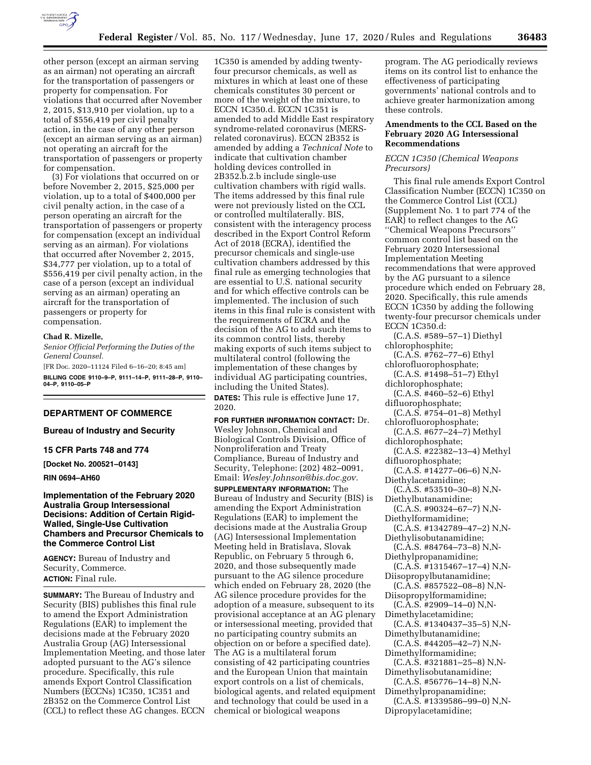

other person (except an airman serving as an airman) not operating an aircraft for the transportation of passengers or property for compensation. For violations that occurred after November 2, 2015, \$13,910 per violation, up to a total of \$556,419 per civil penalty action, in the case of any other person (except an airman serving as an airman) not operating an aircraft for the transportation of passengers or property for compensation.

(3) For violations that occurred on or before November 2, 2015, \$25,000 per violation, up to a total of \$400,000 per civil penalty action, in the case of a person operating an aircraft for the transportation of passengers or property for compensation (except an individual serving as an airman). For violations that occurred after November 2, 2015, \$34,777 per violation, up to a total of \$556,419 per civil penalty action, in the case of a person (except an individual serving as an airman) operating an aircraft for the transportation of passengers or property for compensation.

#### **Chad R. Mizelle,**

*Senior Official Performing the Duties of the General Counsel.* 

[FR Doc. 2020–11124 Filed 6–16–20; 8:45 am] **BILLING CODE 9110–9–P, 9111–14–P, 9111–28–P, 9110– 04–P, 9110–05–P** 

## **DEPARTMENT OF COMMERCE**

**Bureau of Industry and Security** 

**15 CFR Parts 748 and 774** 

**[Docket No. 200521–0143]** 

**RIN 0694–AH60** 

## **Implementation of the February 2020 Australia Group Intersessional Decisions: Addition of Certain Rigid-Walled, Single-Use Cultivation Chambers and Precursor Chemicals to the Commerce Control List**

**AGENCY:** Bureau of Industry and Security, Commerce. **ACTION:** Final rule.

**SUMMARY:** The Bureau of Industry and Security (BIS) publishes this final rule to amend the Export Administration Regulations (EAR) to implement the decisions made at the February 2020 Australia Group (AG) Intersessional Implementation Meeting, and those later adopted pursuant to the AG's silence procedure. Specifically, this rule amends Export Control Classification Numbers (ECCNs) 1C350, 1C351 and 2B352 on the Commerce Control List (CCL) to reflect these AG changes. ECCN

1C350 is amended by adding twentyfour precursor chemicals, as well as mixtures in which at least one of these chemicals constitutes 30 percent or more of the weight of the mixture, to ECCN 1C350.d. ECCN 1C351 is amended to add Middle East respiratory syndrome-related coronavirus (MERSrelated coronavirus). ECCN 2B352 is amended by adding a *Technical Note* to indicate that cultivation chamber holding devices controlled in 2B352.b.2.b include single-use cultivation chambers with rigid walls. The items addressed by this final rule were not previously listed on the CCL or controlled multilaterally. BIS, consistent with the interagency process described in the Export Control Reform Act of 2018 (ECRA), identified the precursor chemicals and single-use cultivation chambers addressed by this final rule as emerging technologies that are essential to U.S. national security and for which effective controls can be implemented. The inclusion of such items in this final rule is consistent with the requirements of ECRA and the decision of the AG to add such items to its common control lists, thereby making exports of such items subject to multilateral control (following the implementation of these changes by individual AG participating countries, including the United States). **DATES:** This rule is effective June 17, 2020.

**FOR FURTHER INFORMATION CONTACT:** Dr. Wesley Johnson, Chemical and Biological Controls Division, Office of Nonproliferation and Treaty Compliance, Bureau of Industry and Security, Telephone: (202) 482–0091, Email: *[Wesley.Johnson@bis.doc.gov.](mailto:Wesley.Johnson@bis.doc.gov)* 

**SUPPLEMENTARY INFORMATION:** The Bureau of Industry and Security (BIS) is amending the Export Administration Regulations (EAR) to implement the decisions made at the Australia Group (AG) Intersessional Implementation Meeting held in Bratislava, Slovak Republic, on February 5 through 6, 2020, and those subsequently made pursuant to the AG silence procedure which ended on February 28, 2020 (the AG silence procedure provides for the adoption of a measure, subsequent to its provisional acceptance at an AG plenary or intersessional meeting, provided that no participating country submits an objection on or before a specified date). The AG is a multilateral forum consisting of 42 participating countries and the European Union that maintain export controls on a list of chemicals, biological agents, and related equipment and technology that could be used in a chemical or biological weapons

program. The AG periodically reviews items on its control list to enhance the effectiveness of participating governments' national controls and to achieve greater harmonization among these controls.

## **Amendments to the CCL Based on the February 2020 AG Intersessional Recommendations**

## *ECCN 1C350 (Chemical Weapons Precursors)*

This final rule amends Export Control Classification Number (ECCN) 1C350 on the Commerce Control List (CCL) (Supplement No. 1 to part 774 of the EAR) to reflect changes to the AG ''Chemical Weapons Precursors'' common control list based on the February 2020 Intersessional Implementation Meeting recommendations that were approved by the AG pursuant to a silence procedure which ended on February 28, 2020. Specifically, this rule amends ECCN 1C350 by adding the following twenty-four precursor chemicals under ECCN 1C350.d:

(C.A.S. #589–57–1) Diethyl chlorophosphite;

- (C.A.S. #762–77–6) Ethyl chlorofluorophosphate;
- (C.A.S. #1498–51–7) Ethyl
- dichlorophosphate; (C.A.S. #460–52–6) Ethyl
- difluorophosphate; (C.A.S. #754–01–8) Methyl
- chlorofluorophosphate;
- (C.A.S. #677–24–7) Methyl
- dichlorophosphate; (C.A.S. #22382–13–4) Methyl
- difluorophosphate;
- (C.A.S. #14277–06–6) N,N-
- Diethylacetamidine;
- (C.A.S. #53510–30–8) N,N-Diethylbutanamidine;
- (C.A.S. #90324–67–7) N,N-
- Diethylformamidine; (C.A.S. #1342789–47–2) N,N-
- Diethylisobutanamidine; (C.A.S. #84764–73–8) N,N-
- Diethylpropanamidine; (C.A.S. #1315467–17–4) N,N-
- Diisopropylbutanamidine;
- (C.A.S. #857522–08–8) N,N-Diisopropylformamidine;
- (C.A.S. #2909–14–0) N,N-
- Dimethylacetamidine;
- (C.A.S. #1340437–35–5) N,N-Dimethylbutanamidine;
- (C.A.S. #44205–42–7) N,N-Dimethylformamidine;
- (C.A.S. #321881–25–8) N,N-Dimethylisobutanamidine;
- $(C.A.S. #56776–14–8) N,N-$ Dimethylpropanamidine;
- (C.A.S. #1339586–99–0) N,N-Dipropylacetamidine;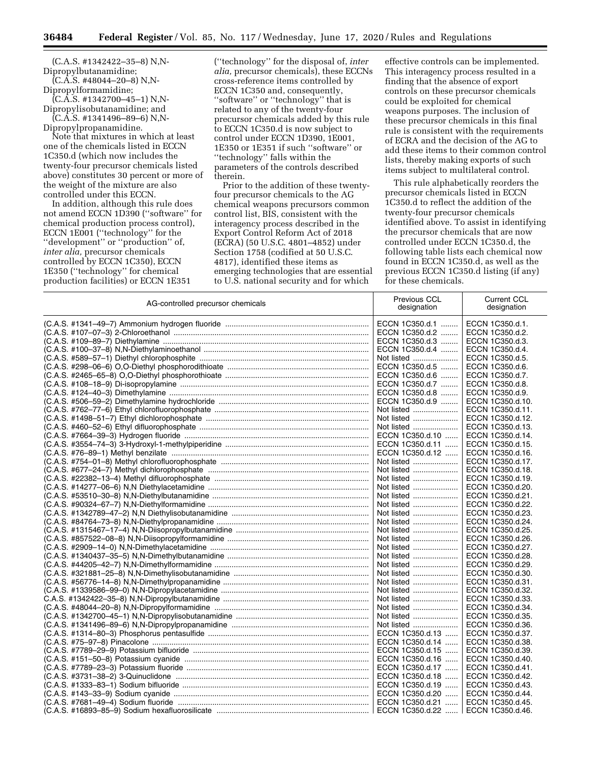(C.A.S. #1342422–35–8) N,N-Dipropylbutanamidine;

 $(C.\overline{A}.\overline{S}.$  #48044–20–8) N,N-Dipropylformamidine;

(C.A.S. #1342700–45–1) N,N-Dipropylisobutanamidine; and

(C.A.S. #1341496–89–6) N,N-Dipropylpropanamidine.

Note that mixtures in which at least one of the chemicals listed in ECCN 1C350.d (which now includes the twenty-four precursor chemicals listed above) constitutes 30 percent or more of the weight of the mixture are also controlled under this ECCN.

In addition, although this rule does not amend ECCN 1D390 (''software'' for chemical production process control), ECCN 1E001 (''technology'' for the ''development'' or ''production'' of, *inter alia,* precursor chemicals controlled by ECCN 1C350), ECCN 1E350 (''technology'' for chemical production facilities) or ECCN 1E351

(''technology'' for the disposal of, *inter alia,* precursor chemicals), these ECCNs cross-reference items controlled by ECCN 1C350 and, consequently, ''software'' or ''technology'' that is related to any of the twenty-four precursor chemicals added by this rule to ECCN 1C350.d is now subject to control under ECCN 1D390, 1E001, 1E350 or 1E351 if such ''software'' or ''technology'' falls within the parameters of the controls described therein.

Prior to the addition of these twentyfour precursor chemicals to the AG chemical weapons precursors common control list, BIS, consistent with the interagency process described in the Export Control Reform Act of 2018 (ECRA) (50 U.S.C. 4801–4852) under Section 1758 (codified at 50 U.S.C. 4817), identified these items as emerging technologies that are essential to U.S. national security and for which

effective controls can be implemented. This interagency process resulted in a finding that the absence of export controls on these precursor chemicals could be exploited for chemical weapons purposes. The inclusion of these precursor chemicals in this final rule is consistent with the requirements of ECRA and the decision of the AG to add these items to their common control lists, thereby making exports of such items subject to multilateral control.

This rule alphabetically reorders the precursor chemicals listed in ECCN 1C350.d to reflect the addition of the twenty-four precursor chemicals identified above. To assist in identifying the precursor chemicals that are now controlled under ECCN 1C350.d, the following table lists each chemical now found in ECCN 1C350.d, as well as the previous ECCN 1C350.d listing (if any) for these chemicals.

| AG-controlled precursor chemicals | Previous CCL<br>designation | <b>Current CCL</b><br>designation |
|-----------------------------------|-----------------------------|-----------------------------------|
|                                   | ECCN 1C350.d.1              | ECCN 1C350.d.1.                   |
|                                   | ECCN 1C350.d.2              | ECCN 1C350.d.2.                   |
|                                   | ECCN 1C350.d.3              | ECCN 1C350.d.3.                   |
|                                   | ECCN 1C350.d.4              | ECCN 1C350.d.4.                   |
|                                   | Not listed                  | ECCN 1C350.d.5.                   |
|                                   | ECCN 1C350.d.5              | ECCN 1C350.d.6.                   |
|                                   | ECCN 1C350.d.6              | ECCN 1C350.d.7.                   |
|                                   | ECCN 1C350.d.7              | ECCN 1C350.d.8.                   |
|                                   | ECCN 1C350.d.8              | ECCN 1C350.d.9.                   |
|                                   | ECCN 1C350.d.9              | ECCN 1C350.d.10.                  |
|                                   | Not listed                  | ECCN 1C350.d.11.                  |
|                                   | Not listed                  | ECCN 1C350.d.12.                  |
|                                   | Not listed                  | ECCN 1C350.d.13.                  |
|                                   | ECCN 1C350.d.10             | ECCN 1C350.d.14.                  |
|                                   | ECCN 1C350.d.11             | ECCN 1C350.d.15.                  |
|                                   | ECCN 1C350.d.12             | ECCN 1C350.d.16.                  |
|                                   | Not listed                  | ECCN 1C350.d.17.                  |
|                                   |                             |                                   |
|                                   | Not listed                  | ECCN 1C350.d.18.                  |
|                                   | Not listed                  | ECCN 1C350.d.19.                  |
|                                   | Not listed                  | ECCN 1C350.d.20.                  |
|                                   | Not listed                  | ECCN 1C350.d.21.                  |
|                                   | Not listed                  | ECCN 1C350.d.22.                  |
|                                   | Not listed                  | ECCN 1C350.d.23.                  |
|                                   | Not listed                  | ECCN 1C350.d.24.                  |
|                                   | Not listed                  | ECCN 1C350.d.25.                  |
|                                   | Not listed                  | ECCN 1C350.d.26.                  |
|                                   | Not listed                  | ECCN 1C350.d.27.                  |
|                                   | Not listed                  | ECCN 1C350.d.28.                  |
|                                   | Not listed                  | ECCN 1C350.d.29.                  |
|                                   | Not listed                  | ECCN 1C350.d.30.                  |
|                                   | Not listed                  | ECCN 1C350.d.31.                  |
|                                   | Not listed                  | ECCN 1C350.d.32.                  |
|                                   | Not listed                  | ECCN 1C350.d.33.                  |
|                                   | Not listed                  | ECCN 1C350.d.34.                  |
|                                   | Not listed                  | ECCN 1C350.d.35.                  |
|                                   | Not listed                  | ECCN 1C350.d.36.                  |
|                                   | ECCN 1C350.d.13             | ECCN 1C350.d.37.                  |
|                                   | ECCN 1C350.d.14             | ECCN 1C350.d.38.                  |
|                                   | ECCN 1C350.d.15             | ECCN 1C350.d.39.                  |
|                                   | ECCN 1C350.d.16             | ECCN 1C350.d.40.                  |
|                                   | ECCN 1C350.d.17             | ECCN 1C350.d.41.                  |
|                                   | ECCN 1C350.d.18             | ECCN 1C350.d.42.                  |
|                                   | ECCN 1C350.d.19             | ECCN 1C350.d.43.                  |
|                                   | ECCN 1C350.d.20             | ECCN 1C350.d.44.                  |
|                                   | ECCN 1C350.d.21             | ECCN 1C350.d.45.                  |
|                                   | ECCN 1C350.d.22<br>$\cdots$ | ECCN 1C350.d.46.                  |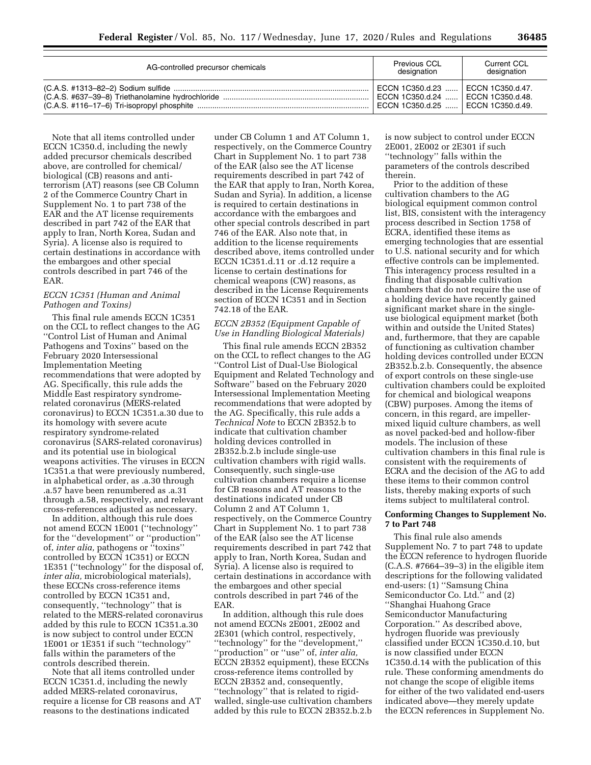| AG-controlled precursor chemicals | Previous CCL<br>designation                                                                                           | Current CCL<br>designation |
|-----------------------------------|-----------------------------------------------------------------------------------------------------------------------|----------------------------|
|                                   | ECCN 1C350.d.23    ECCN 1C350.d.47.<br>  ECCN 1C350.d.24    ECCN 1C350.d.48.<br>  ECCN 1C350.d.25    ECCN 1C350.d.49. |                            |

Note that all items controlled under ECCN 1C350.d, including the newly added precursor chemicals described above, are controlled for chemical/ biological (CB) reasons and antiterrorism (AT) reasons (see CB Column 2 of the Commerce Country Chart in Supplement No. 1 to part 738 of the EAR and the AT license requirements described in part 742 of the EAR that apply to Iran, North Korea, Sudan and Syria). A license also is required to certain destinations in accordance with the embargoes and other special controls described in part 746 of the EAR.

## *ECCN 1C351 (Human and Animal Pathogen and Toxins)*

This final rule amends ECCN 1C351 on the CCL to reflect changes to the AG ''Control List of Human and Animal Pathogens and Toxins'' based on the February 2020 Intersessional Implementation Meeting recommendations that were adopted by AG. Specifically, this rule adds the Middle East respiratory syndromerelated coronavirus (MERS-related coronavirus) to ECCN 1C351.a.30 due to its homology with severe acute respiratory syndrome-related coronavirus (SARS-related coronavirus) and its potential use in biological weapons activities. The viruses in ECCN 1C351.a that were previously numbered, in alphabetical order, as .a.30 through .a.57 have been renumbered as .a.31 through .a.58, respectively, and relevant cross-references adjusted as necessary.

In addition, although this rule does not amend ECCN 1E001 (''technology'' for the ''development'' or ''production'' of, *inter alia,* pathogens or ''toxins'' controlled by ECCN 1C351) or ECCN 1E351 (''technology'' for the disposal of, *inter alia,* microbiological materials), these ECCNs cross-reference items controlled by ECCN 1C351 and, consequently, ''technology'' that is related to the MERS-related coronavirus added by this rule to ECCN 1C351.a.30 is now subject to control under ECCN 1E001 or 1E351 if such ''technology'' falls within the parameters of the controls described therein.

Note that all items controlled under ECCN 1C351.d, including the newly added MERS-related coronavirus, require a license for CB reasons and AT reasons to the destinations indicated

under CB Column 1 and AT Column 1, respectively, on the Commerce Country Chart in Supplement No. 1 to part 738 of the EAR (also see the AT license requirements described in part 742 of the EAR that apply to Iran, North Korea, Sudan and Syria). In addition, a license is required to certain destinations in accordance with the embargoes and other special controls described in part 746 of the EAR. Also note that, in addition to the license requirements described above, items controlled under ECCN 1C351.d.11 or .d.12 require a license to certain destinations for chemical weapons (CW) reasons, as described in the License Requirements section of ECCN 1C351 and in Section 742.18 of the EAR.

## *ECCN 2B352 (Equipment Capable of Use in Handling Biological Materials)*

This final rule amends ECCN 2B352 on the CCL to reflect changes to the AG ''Control List of Dual-Use Biological Equipment and Related Technology and Software'' based on the February 2020 Intersessional Implementation Meeting recommendations that were adopted by the AG. Specifically, this rule adds a *Technical Note* to ECCN 2B352.b to indicate that cultivation chamber holding devices controlled in 2B352.b.2.b include single-use cultivation chambers with rigid walls. Consequently, such single-use cultivation chambers require a license for CB reasons and AT reasons to the destinations indicated under CB Column 2 and AT Column 1, respectively, on the Commerce Country Chart in Supplement No. 1 to part 738 of the EAR (also see the AT license requirements described in part 742 that apply to Iran, North Korea, Sudan and Syria). A license also is required to certain destinations in accordance with the embargoes and other special controls described in part 746 of the EAR.

In addition, although this rule does not amend ECCNs 2E001, 2E002 and 2E301 (which control, respectively, ''technology'' for the ''development,'' ''production'' or ''use'' of, *inter alia,*  ECCN 2B352 equipment), these ECCNs cross-reference items controlled by ECCN 2B352 and, consequently, ''technology'' that is related to rigidwalled, single-use cultivation chambers added by this rule to ECCN 2B352.b.2.b

is now subject to control under ECCN 2E001, 2E002 or 2E301 if such ''technology'' falls within the parameters of the controls described therein.

Prior to the addition of these cultivation chambers to the AG biological equipment common control list, BIS, consistent with the interagency process described in Section 1758 of ECRA, identified these items as emerging technologies that are essential to U.S. national security and for which effective controls can be implemented. This interagency process resulted in a finding that disposable cultivation chambers that do not require the use of a holding device have recently gained significant market share in the singleuse biological equipment market (both within and outside the United States) and, furthermore, that they are capable of functioning as cultivation chamber holding devices controlled under ECCN 2B352.b.2.b. Consequently, the absence of export controls on these single-use cultivation chambers could be exploited for chemical and biological weapons (CBW) purposes. Among the items of concern, in this regard, are impellermixed liquid culture chambers, as well as novel packed-bed and hollow-fiber models. The inclusion of these cultivation chambers in this final rule is consistent with the requirements of ECRA and the decision of the AG to add these items to their common control lists, thereby making exports of such items subject to multilateral control.

## **Conforming Changes to Supplement No. 7 to Part 748**

This final rule also amends Supplement No. 7 to part 748 to update the ECCN reference to hydrogen fluoride (C.A.S. #7664–39–3) in the eligible item descriptions for the following validated end-users: (1) ''Samsung China Semiconductor Co. Ltd.'' and (2) ''Shanghai Huahong Grace Semiconductor Manufacturing Corporation.'' As described above, hydrogen fluoride was previously classified under ECCN 1C350.d.10, but is now classified under ECCN 1C350.d.14 with the publication of this rule. These conforming amendments do not change the scope of eligible items for either of the two validated end-users indicated above—they merely update the ECCN references in Supplement No.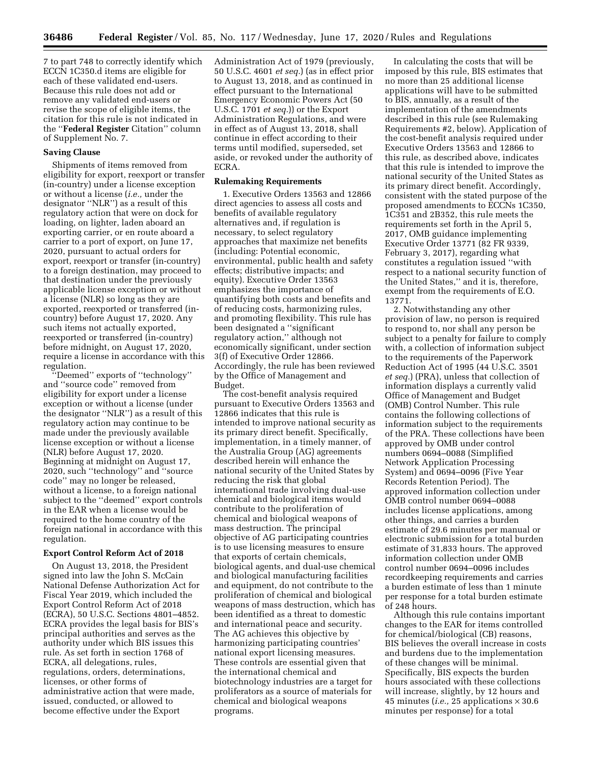7 to part 748 to correctly identify which ECCN 1C350.d items are eligible for each of these validated end-users. Because this rule does not add or remove any validated end-users or revise the scope of eligible items, the citation for this rule is not indicated in the ''**Federal Register** Citation'' column of Supplement No. 7.

# **Saving Clause**

Shipments of items removed from eligibility for export, reexport or transfer (in-country) under a license exception or without a license (*i.e.,* under the designator ''NLR'') as a result of this regulatory action that were on dock for loading, on lighter, laden aboard an exporting carrier, or en route aboard a carrier to a port of export, on June 17, 2020, pursuant to actual orders for export, reexport or transfer (in-country) to a foreign destination, may proceed to that destination under the previously applicable license exception or without a license (NLR) so long as they are exported, reexported or transferred (incountry) before August 17, 2020. Any such items not actually exported, reexported or transferred (in-country) before midnight, on August 17, 2020, require a license in accordance with this regulation.

''Deemed'' exports of ''technology'' and ''source code'' removed from eligibility for export under a license exception or without a license (under the designator ''NLR'') as a result of this regulatory action may continue to be made under the previously available license exception or without a license (NLR) before August 17, 2020. Beginning at midnight on August 17, 2020, such ''technology'' and ''source code'' may no longer be released, without a license, to a foreign national subject to the ''deemed'' export controls in the EAR when a license would be required to the home country of the foreign national in accordance with this regulation.

#### **Export Control Reform Act of 2018**

On August 13, 2018, the President signed into law the John S. McCain National Defense Authorization Act for Fiscal Year 2019, which included the Export Control Reform Act of 2018 (ECRA), 50 U.S.C. Sections 4801–4852. ECRA provides the legal basis for BIS's principal authorities and serves as the authority under which BIS issues this rule. As set forth in section 1768 of ECRA, all delegations, rules, regulations, orders, determinations, licenses, or other forms of administrative action that were made, issued, conducted, or allowed to become effective under the Export

Administration Act of 1979 (previously, 50 U.S.C. 4601 *et seq.*) (as in effect prior to August 13, 2018, and as continued in effect pursuant to the International Emergency Economic Powers Act (50 U.S.C. 1701 *et seq.*)) or the Export Administration Regulations, and were in effect as of August 13, 2018, shall continue in effect according to their terms until modified, superseded, set aside, or revoked under the authority of ECRA.

### **Rulemaking Requirements**

1. Executive Orders 13563 and 12866 direct agencies to assess all costs and benefits of available regulatory alternatives and, if regulation is necessary, to select regulatory approaches that maximize net benefits (including: Potential economic, environmental, public health and safety effects; distributive impacts; and equity). Executive Order 13563 emphasizes the importance of quantifying both costs and benefits and of reducing costs, harmonizing rules, and promoting flexibility. This rule has been designated a ''significant regulatory action,'' although not economically significant, under section 3(f) of Executive Order 12866. Accordingly, the rule has been reviewed by the Office of Management and Budget.

The cost-benefit analysis required pursuant to Executive Orders 13563 and 12866 indicates that this rule is intended to improve national security as its primary direct benefit. Specifically, implementation, in a timely manner, of the Australia Group (AG) agreements described herein will enhance the national security of the United States by reducing the risk that global international trade involving dual-use chemical and biological items would contribute to the proliferation of chemical and biological weapons of mass destruction. The principal objective of AG participating countries is to use licensing measures to ensure that exports of certain chemicals, biological agents, and dual-use chemical and biological manufacturing facilities and equipment, do not contribute to the proliferation of chemical and biological weapons of mass destruction, which has been identified as a threat to domestic and international peace and security. The AG achieves this objective by harmonizing participating countries' national export licensing measures. These controls are essential given that the international chemical and biotechnology industries are a target for proliferators as a source of materials for chemical and biological weapons programs.

In calculating the costs that will be imposed by this rule, BIS estimates that no more than 25 additional license applications will have to be submitted to BIS, annually, as a result of the implementation of the amendments described in this rule (see Rulemaking Requirements #2, below). Application of the cost-benefit analysis required under Executive Orders 13563 and 12866 to this rule, as described above, indicates that this rule is intended to improve the national security of the United States as its primary direct benefit. Accordingly, consistent with the stated purpose of the proposed amendments to ECCNs 1C350, 1C351 and 2B352, this rule meets the requirements set forth in the April 5, 2017, OMB guidance implementing Executive Order 13771 (82 FR 9339, February 3, 2017), regarding what constitutes a regulation issued ''with respect to a national security function of the United States,'' and it is, therefore, exempt from the requirements of E.O. 13771.

2. Notwithstanding any other provision of law, no person is required to respond to, nor shall any person be subject to a penalty for failure to comply with, a collection of information subject to the requirements of the Paperwork Reduction Act of 1995 (44 U.S.C. 3501 *et seq.*) (PRA), unless that collection of information displays a currently valid Office of Management and Budget (OMB) Control Number. This rule contains the following collections of information subject to the requirements of the PRA. These collections have been approved by OMB under control numbers 0694–0088 (Simplified Network Application Processing System) and 0694–0096 (Five Year Records Retention Period). The approved information collection under OMB control number 0694–0088 includes license applications, among other things, and carries a burden estimate of 29.6 minutes per manual or electronic submission for a total burden estimate of 31,833 hours. The approved information collection under OMB control number 0694–0096 includes recordkeeping requirements and carries a burden estimate of less than 1 minute per response for a total burden estimate of 248 hours.

Although this rule contains important changes to the EAR for items controlled for chemical/biological (CB) reasons, BIS believes the overall increase in costs and burdens due to the implementation of these changes will be minimal. Specifically, BIS expects the burden hours associated with these collections will increase, slightly, by 12 hours and 45 minutes (*i.e.*, 25 applications  $\times$  30.6 minutes per response) for a total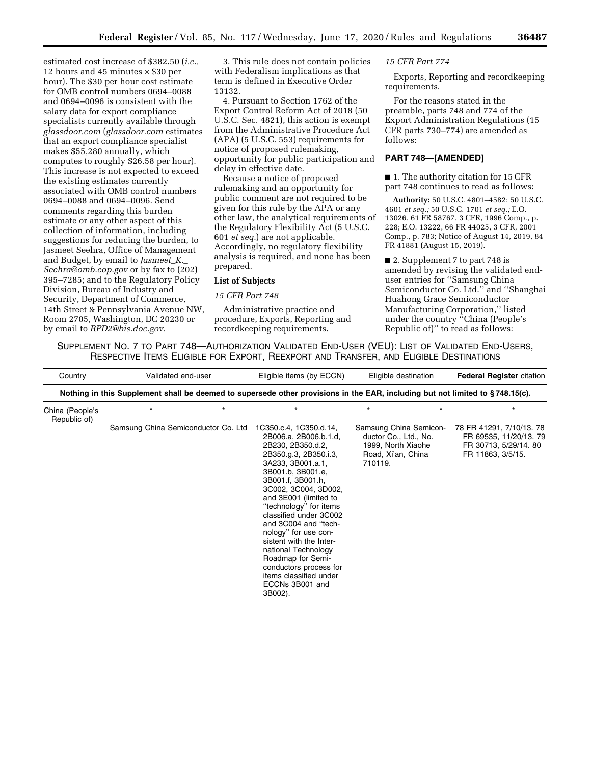estimated cost increase of \$382.50 (*i.e.,*  12 hours and 45 minutes  $\times$  \$30 per hour). The \$30 per hour cost estimate for OMB control numbers 0694–0088 and 0694–0096 is consistent with the salary data for export compliance specialists currently available through *glassdoor.com* (*glassdoor.com* estimates that an export compliance specialist makes \$55,280 annually, which computes to roughly \$26.58 per hour). This increase is not expected to exceed the existing estimates currently associated with OMB control numbers 0694–0088 and 0694–0096. Send comments regarding this burden estimate or any other aspect of this collection of information, including suggestions for reducing the burden, to Jasmeet Seehra, Office of Management and Budget, by email to *[Jasmeet](mailto:Jasmeet_K._Seehra@omb.eop.gov)*\_*K.*\_ *[Seehra@omb.eop.gov](mailto:Jasmeet_K._Seehra@omb.eop.gov)* or by fax to (202) 395–7285; and to the Regulatory Policy Division, Bureau of Industry and Security, Department of Commerce, 14th Street & Pennsylvania Avenue NW, Room 2705, Washington, DC 20230 or by email to *[RPD2@bis.doc.gov.](mailto:RPD2@bis.doc.gov)* 

3. This rule does not contain policies with Federalism implications as that term is defined in Executive Order 13132.

4. Pursuant to Section 1762 of the Export Control Reform Act of 2018 (50 U.S.C. Sec. 4821), this action is exempt from the Administrative Procedure Act (APA) (5 U.S.C. 553) requirements for notice of proposed rulemaking, opportunity for public participation and delay in effective date.

Because a notice of proposed rulemaking and an opportunity for public comment are not required to be given for this rule by the APA or any other law, the analytical requirements of the Regulatory Flexibility Act (5 U.S.C. 601 *et seq.*) are not applicable. Accordingly, no regulatory flexibility analysis is required, and none has been prepared.

# **List of Subjects**

#### *15 CFR Part 748*

Administrative practice and procedure, Exports, Reporting and recordkeeping requirements.

#### *15 CFR Part 774*

Exports, Reporting and recordkeeping requirements.

For the reasons stated in the preamble, parts 748 and 774 of the Export Administration Regulations (15 CFR parts 730–774) are amended as follows:

# **PART 748—[AMENDED]**

■ 1. The authority citation for 15 CFR part 748 continues to read as follows:

**Authority:** 50 U.S.C. 4801–4582; 50 U.S.C. 4601 *et seq.;* 50 U.S.C. 1701 *et seq.;* E.O. 13026, 61 FR 58767, 3 CFR, 1996 Comp., p. 228; E.O. 13222, 66 FR 44025, 3 CFR, 2001 Comp., p. 783; Notice of August 14, 2019, 84 FR 41881 (August 15, 2019).

■ 2. Supplement 7 to part 748 is amended by revising the validated enduser entries for ''Samsung China Semiconductor Co. Ltd.'' and ''Shanghai Huahong Grace Semiconductor Manufacturing Corporation,'' listed under the country ''China (People's Republic of)'' to read as follows:

SUPPLEMENT NO. 7 TO PART 748—AUTHORIZATION VALIDATED END-USER (VEU): LIST OF VALIDATED END-USERS, RESPECTIVE ITEMS ELIGIBLE FOR EXPORT, REEXPORT AND TRANSFER, AND ELIGIBLE DESTINATIONS

| Country                         | Validated end-user                                                                                                            | Eligible items (by ECCN)                                                                                                                                                                                                                                                                                                                                                                                                                                                   | Eligible destination                                                                                   | <b>Federal Register citation</b>                                                                 |
|---------------------------------|-------------------------------------------------------------------------------------------------------------------------------|----------------------------------------------------------------------------------------------------------------------------------------------------------------------------------------------------------------------------------------------------------------------------------------------------------------------------------------------------------------------------------------------------------------------------------------------------------------------------|--------------------------------------------------------------------------------------------------------|--------------------------------------------------------------------------------------------------|
|                                 | Nothing in this Supplement shall be deemed to supersede other provisions in the EAR, including but not limited to §748.15(c). |                                                                                                                                                                                                                                                                                                                                                                                                                                                                            |                                                                                                        |                                                                                                  |
| China (People's<br>Republic of) |                                                                                                                               |                                                                                                                                                                                                                                                                                                                                                                                                                                                                            |                                                                                                        |                                                                                                  |
|                                 | Samsung China Semiconductor Co. Ltd                                                                                           | 1C350.c.4, 1C350.d.14,<br>2B006.a, 2B006.b.1.d,<br>2B230, 2B350.d.2,<br>2B350.g.3, 2B350.i.3,<br>3A233, 3B001.a.1,<br>3B001.b, 3B001.e,<br>3B001.f, 3B001.h,<br>3C002, 3C004, 3D002,<br>and 3E001 (limited to<br>"technology" for items<br>classified under 3C002<br>and 3C004 and "tech-<br>nology" for use con-<br>sistent with the Inter-<br>national Technology<br>Roadmap for Semi-<br>conductors process for<br>items classified under<br>ECCNs 3B001 and<br>3B002). | Samsung China Semicon-<br>ductor Co., Ltd., No.<br>1999, North Xiaohe<br>Road, Xi'an, China<br>710119. | 78 FR 41291, 7/10/13. 78<br>FR 69535, 11/20/13. 79<br>FR 30713, 5/29/14, 80<br>FR 11863, 3/5/15. |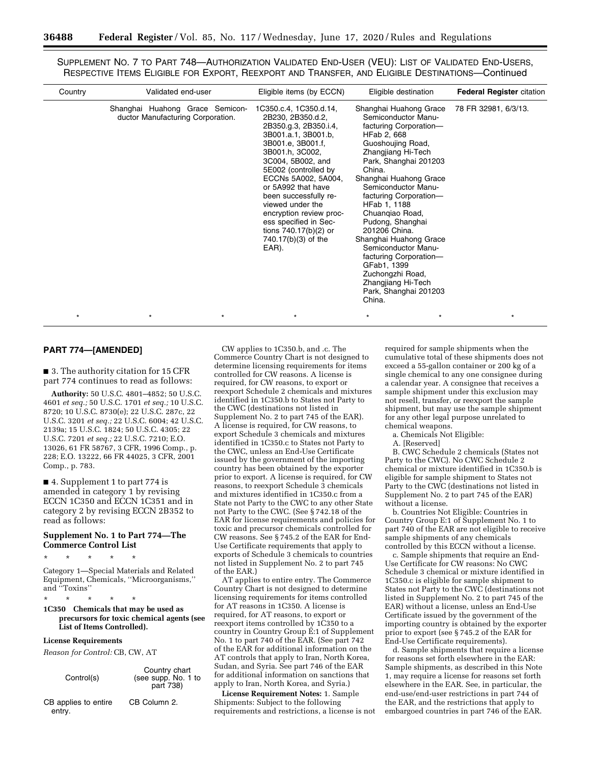SUPPLEMENT NO. 7 TO PART 748—AUTHORIZATION VALIDATED END-USER (VEU): LIST OF VALIDATED END-USERS, RESPECTIVE ITEMS ELIGIBLE FOR EXPORT, REEXPORT AND TRANSFER, AND ELIGIBLE DESTINATIONS—Continued

| Country | Validated end-user                                                   | Eligible items (by ECCN)                                                                                                                                                                                                                                                                                                                                                                  | Eligible destination                                                                                                                                                                                                                                                                                                                                                                                                                                                                           | <b>Federal Register citation</b> |
|---------|----------------------------------------------------------------------|-------------------------------------------------------------------------------------------------------------------------------------------------------------------------------------------------------------------------------------------------------------------------------------------------------------------------------------------------------------------------------------------|------------------------------------------------------------------------------------------------------------------------------------------------------------------------------------------------------------------------------------------------------------------------------------------------------------------------------------------------------------------------------------------------------------------------------------------------------------------------------------------------|----------------------------------|
|         | Shanghai Huahong Grace Semicon-<br>ductor Manufacturing Corporation. | 1C350.c.4, 1C350.d.14,<br>2B230, 2B350.d.2,<br>2B350.g.3, 2B350.i.4,<br>3B001.a.1, 3B001.b,<br>3B001.e, 3B001.f,<br>3B001.h, 3C002,<br>3C004, 5B002, and<br>5E002 (controlled by<br>ECCNs 5A002, 5A004,<br>or 5A992 that have<br>been successfully re-<br>viewed under the<br>encryption review proc-<br>ess specified in Sec-<br>tions $740.17(b)(2)$ or<br>740.17(b)(3) of the<br>EAR). | Shanghai Huahong Grace<br>Semiconductor Manu-<br>facturing Corporation-<br>HFab 2, 668<br>Guoshoujing Road,<br>Zhangjiang Hi-Tech<br>Park, Shanghai 201203<br>China.<br>Shanghai Huahong Grace<br>Semiconductor Manu-<br>facturing Corporation-<br>HFab 1, 1188<br>Chuangiao Road,<br>Pudong, Shanghai<br>201206 China.<br>Shanghai Huahong Grace<br>Semiconductor Manu-<br>facturing Corporation-<br>GFab1, 1399<br>Zuchongzhi Road,<br>Zhangjiang Hi-Tech<br>Park, Shanghai 201203<br>China. | 78 FR 32981, 6/3/13.             |
| $\star$ |                                                                      | $\star$                                                                                                                                                                                                                                                                                                                                                                                   | $\star$<br>$\star$                                                                                                                                                                                                                                                                                                                                                                                                                                                                             |                                  |

## **PART 774—[AMENDED]**

■ 3. The authority citation for 15 CFR part 774 continues to read as follows:

**Authority:** 50 U.S.C. 4801–4852; 50 U.S.C. 4601 *et seq.;* 50 U.S.C. 1701 *et seq.;* 10 U.S.C. 8720; 10 U.S.C. 8730(e); 22 U.S.C. 287c, 22 U.S.C. 3201 *et seq.;* 22 U.S.C. 6004; 42 U.S.C. 2139a; 15 U.S.C. 1824; 50 U.S.C. 4305; 22 U.S.C. 7201 *et seq.;* 22 U.S.C. 7210; E.O. 13026, 61 FR 58767, 3 CFR, 1996 Comp., p. 228; E.O. 13222, 66 FR 44025, 3 CFR, 2001 Comp., p. 783.

■ 4. Supplement 1 to part 774 is amended in category 1 by revising ECCN 1C350 and ECCN 1C351 and in category 2 by revising ECCN 2B352 to read as follows:

## **Supplement No. 1 to Part 774—The Commerce Control List**

\* \* \* \* \*

Category 1—Special Materials and Related Equipment, Chemicals, ''Microorganisms,'' and ''Toxins''

\* \* \* \* \*

**1C350 Chemicals that may be used as precursors for toxic chemical agents (see List of Items Controlled).** 

#### **License Requirements**

*Reason for Control:* CB, CW, AT

| Control(s)                     | Country chart<br>(see supp. No. 1 to<br>part 738) |
|--------------------------------|---------------------------------------------------|
| CB applies to entire<br>entrv. | CB Column 2.                                      |

CW applies to 1C350.b, and .c. The Commerce Country Chart is not designed to determine licensing requirements for items controlled for CW reasons. A license is required, for CW reasons, to export or reexport Schedule 2 chemicals and mixtures identified in 1C350.b to States not Party to the CWC (destinations not listed in Supplement No. 2 to part 745 of the EAR). A license is required, for CW reasons, to export Schedule 3 chemicals and mixtures identified in 1C350.c to States not Party to the CWC, unless an End-Use Certificate issued by the government of the importing country has been obtained by the exporter prior to export. A license is required, for CW reasons, to reexport Schedule 3 chemicals and mixtures identified in 1C350.c from a State not Party to the CWC to any other State not Party to the CWC. (See § 742.18 of the EAR for license requirements and policies for toxic and precursor chemicals controlled for CW reasons. See § 745.2 of the EAR for End-Use Certificate requirements that apply to exports of Schedule 3 chemicals to countries not listed in Supplement No. 2 to part 745 of the EAR.)

AT applies to entire entry. The Commerce Country Chart is not designed to determine licensing requirements for items controlled for AT reasons in 1C350. A license is required, for AT reasons, to export or reexport items controlled by 1C350 to a country in Country Group E:1 of Supplement No. 1 to part 740 of the EAR. (See part 742 of the EAR for additional information on the AT controls that apply to Iran, North Korea, Sudan, and Syria. See part 746 of the EAR for additional information on sanctions that apply to Iran, North Korea, and Syria.)

**License Requirement Notes:** 1. Sample Shipments: Subject to the following requirements and restrictions, a license is not required for sample shipments when the cumulative total of these shipments does not exceed a 55-gallon container or 200 kg of a single chemical to any one consignee during a calendar year. A consignee that receives a sample shipment under this exclusion may not resell, transfer, or reexport the sample shipment, but may use the sample shipment for any other legal purpose unrelated to chemical weapons.

a. Chemicals Not Eligible:

A. [Reserved]

B. CWC Schedule 2 chemicals (States not Party to the CWC). No CWC Schedule 2 chemical or mixture identified in 1C350.b is eligible for sample shipment to States not Party to the CWC (destinations not listed in Supplement No. 2 to part 745 of the EAR) without a license.

b. Countries Not Eligible: Countries in Country Group E:1 of Supplement No. 1 to part 740 of the EAR are not eligible to receive sample shipments of any chemicals controlled by this ECCN without a license.

c. Sample shipments that require an End-Use Certificate for CW reasons: No CWC Schedule 3 chemical or mixture identified in 1C350.c is eligible for sample shipment to States not Party to the CWC (destinations not listed in Supplement No. 2 to part 745 of the EAR) without a license, unless an End-Use Certificate issued by the government of the importing country is obtained by the exporter prior to export (see § 745.2 of the EAR for End-Use Certificate requirements).

d. Sample shipments that require a license for reasons set forth elsewhere in the EAR: Sample shipments, as described in this Note 1, may require a license for reasons set forth elsewhere in the EAR. See, in particular, the end-use/end-user restrictions in part 744 of the EAR, and the restrictions that apply to embargoed countries in part 746 of the EAR.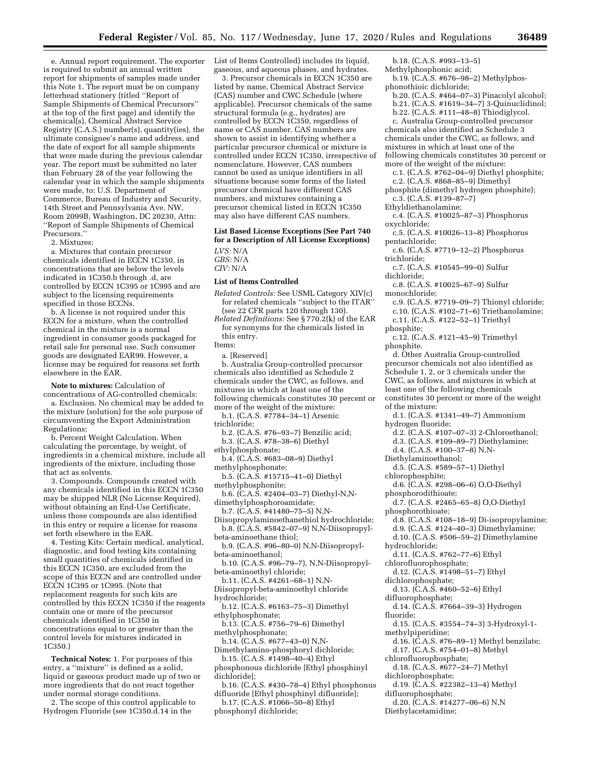e. Annual report requirement. The exporter is required to submit an annual written report for shipments of samples made under this Note 1. The report must be on company letterhead stationery (titled ''Report of Sample Shipments of Chemical Precursors'' at the top of the first page) and identify the chemical(s), Chemical Abstract Service Registry (C.A.S.) number(s), quantity(ies), the ultimate consignee's name and address, and the date of export for all sample shipments that were made during the previous calendar year. The report must be submitted no later than February 28 of the year following the calendar year in which the sample shipments were made, to: U.S. Department of Commerce, Bureau of Industry and Security, 14th Street and Pennsylvania Ave. NW, Room 2099B, Washington, DC 20230, Attn: ''Report of Sample Shipments of Chemical Precursors.''

2. Mixtures:

a. Mixtures that contain precursor chemicals identified in ECCN 1C350, in concentrations that are below the levels indicated in 1C350.b through .d, are controlled by ECCN 1C395 or 1C995 and are subject to the licensing requirements specified in those ECCNs.

b. A license is not required under this ECCN for a mixture, when the controlled chemical in the mixture is a normal ingredient in consumer goods packaged for retail sale for personal use. Such consumer goods are designated EAR99. However, a license may be required for reasons set forth elsewhere in the EAR.

**Note to mixtures:** Calculation of

concentrations of AG-controlled chemicals: a. Exclusion. No chemical may be added to the mixture (solution) for the sole purpose of circumventing the Export Administration Regulations;

b. Percent Weight Calculation. When calculating the percentage, by weight, of ingredients in a chemical mixture, include all ingredients of the mixture, including those that act as solvents.

3. Compounds. Compounds created with any chemicals identified in this ECCN 1C350 may be shipped NLR (No License Required), without obtaining an End-Use Certificate, unless those compounds are also identified in this entry or require a license for reasons set forth elsewhere in the EAR.

4. Testing Kits: Certain medical, analytical, diagnostic, and food testing kits containing small quantities of chemicals identified in this ECCN 1C350, are excluded from the scope of this ECCN and are controlled under ECCN 1C395 or 1C995. (Note that replacement reagents for such kits are controlled by this ECCN 1C350 if the reagents contain one or more of the precursor chemicals identified in 1C350 in concentrations equal to or greater than the control levels for mixtures indicated in 1C350.)

**Technical Notes:** 1. For purposes of this entry, a ''mixture'' is defined as a solid, liquid or gaseous product made up of two or more ingredients that do not react together under normal storage conditions.

2. The scope of this control applicable to Hydrogen Fluoride (see 1C350.d.14 in the

List of Items Controlled) includes its liquid, gaseous, and aqueous phases, and hydrates.

3. Precursor chemicals in ECCN 1C350 are listed by name, Chemical Abstract Service (CAS) number and CWC Schedule (where applicable). Precursor chemicals of the same structural formula (e.g., hydrates) are controlled by ECCN 1C350, regardless of name or CAS number. CAS numbers are shown to assist in identifying whether a particular precursor chemical or mixture is controlled under ECCN 1C350, irrespective of nomenclature. However, CAS numbers cannot be used as unique identifiers in all situations because some forms of the listed precursor chemical have different CAS numbers, and mixtures containing a precursor chemical listed in ECCN 1C350 may also have different CAS numbers.

# **List Based License Exceptions (See Part 740 for a Description of All License Exceptions)**

*LVS:* N/A *GBS:* N/A *CIV:* N/A

#### **List of Items Controlled**

*Related Controls:* See USML Category XIV(c) for related chemicals ''subject to the ITAR'' (see 22 CFR parts 120 through 130).

*Related Definitions:* See § 770.2(k) of the EAR for synonyms for the chemicals listed in this entry.

```
Items:
```
a. [Reserved]

- b. Australia Group-controlled precursor chemicals also identified as Schedule 2 chemicals under the CWC, as follows, and mixtures in which at least one of the following chemicals constitutes 30 percent or more of the weight of the mixture:
- b.1. (C.A.S. #7784–34–1) Arsenic
- trichloride;
- b.2. (C.A.S. #76–93–7) Benzilic acid;
- b.3. (C.A.S. #78–38–6) Diethyl
- ethylphosphonate;

b.4. (C.A.S. #683–08–9) Diethyl methylphosphonate;

- b.5. (C.A.S. #15715–41–0) Diethyl methylphosphonite;
- b.6. (C.A.S. #2404–03–7) Diethyl-N,Ndimethylphosphoroamidate;
- b.7. (C.A.S. #41480–75–5) N,N-

Diisopropylaminoethanethiol hydrochloride; b.8. (C.A.S. #5842–07–9) N,N-Diisopropylbeta-aminoethane thiol;

b.9. (C.A.S. #96–80–0) N,N-Diisopropylbeta-aminoethanol;

b.10. (C.A.S. #96–79–7), N,N-Diisopropylbeta-aminoethyl chloride;

b.11. (C.A.S. #4261–68–1) N,N-Diisopropyl-beta-aminoethyl chloride

- hydrochloride; b.12. (C.A.S. #6163–75–3) Dimethyl
- ethylphosphonate; b.13. (C.A.S. #756–79–6) Dimethyl
- methylphosphonate;
- b.14. (C.A.S. #677–43–0) N,N-
- Dimethylamino-phosphoryl dichloride; b.15. (C.A.S. #1498–40–4) Ethyl

phosphonous dichloride [Ethyl phosphinyl dichloride];

b.16. (C.A.S. #430–78–4) Ethyl phosphonus difluoride [Ethyl phosphinyl difluoride];

b.17. (C.A.S. #1066–50–8) Ethyl phosphonyl dichloride;

b.18. (C.A.S. #993–13–5) Methylphosphonic acid;

- b.19. (C.A.S. #676–98–2) Methylphosphonothioic dichloride;
- b.20. (C.A.S. #464–07–3) Pinacolyl alcohol;
- b.21. (C.A.S. #1619–34–7) 3-Quinuclidinol;
- b.22. (C.A.S. #111–48–8) Thiodiglycol.
- c. Australia Group-controlled precursor chemicals also identified as Schedule 3
- chemicals under the CWC, as follows, and
- mixtures in which at least one of the
- following chemicals constitutes 30 percent or more of the weight of the mixture:
- c.1. (C.A.S. #762–04–9) Diethyl phosphite;
- c.2. (C.A.S. #868–85–9) Dimethyl
- phosphite (dimethyl hydrogen phosphite);
- c.3. (C.A.S. #139–87–7)
- Ethyldiethanolamine;
- c.4. (C.A.S. #10025–87–3) Phosphorus oxychloride;
- c.5. (C.A.S. #10026–13–8) Phosphorus pentachloride;
- c.6. (C.A.S. #7719–12–2) Phosphorus trichloride;
- c.7. (C.A.S. #10545–99–0) Sulfur dichloride;
- c.8. (C.A.S. #10025–67–9) Sulfur monochloride;
- c.9. (C.A.S. #7719–09–7) Thionyl chloride; c.10. (C.A.S. #102–71–6) Triethanolamine;
- c.11. (C.A.S. #122–52–1) Triethyl
- phosphite;
- c.12. (C.A.S. #121–45–9) Trimethyl phosphite.

d. Other Australia Group-controlled precursor chemicals not also identified as Schedule 1, 2, or 3 chemicals under the CWC, as follows, and mixtures in which at least one of the following chemicals constitutes 30 percent or more of the weight of the mixture:

- d.1. (C.A.S. #1341–49–7) Ammonium hydrogen fluoride;
	-
- d.2. (C.A.S. #107–07–3) 2-Chloroethanol; d.3. (C.A.S. #109–89–7) Diethylamine;
- 
- d.4. (C.A.S. #100–37–8) N,N-
- Diethylaminoethanol; d.5. (C.A.S. #589–57–1) Diethyl
- chlorophosphite;
- d.6. (C.A.S. #298–06–6) O,O-Diethyl
- phosphorodithioate;
- d.7. (C.A.S. #2465–65–8) O,O-Diethyl
- phosphorothioate;
- d.8. (C.A.S. #108–18–9) Di-isopropylamine;
- d.9. (C.A.S. #124–40–3) Dimethylamine;
- d.10. (C.A.S. #506–59–2) Dimethylamine
- hydrochloride;
- d.11. (C.A.S. #762–77–6) Ethyl chlorofluorophosphate;
- d.12. (C.A.S. #1498–51–7) Ethyl
- dichlorophosphate;
- d.13. (C.A.S. #460–52–6) Ethyl
- difluorophosphate;
- d.14. (C.A.S. #7664–39–3) Hydrogen fluoride;
- d.15. (C.A.S. #3554–74–3) 3-Hydroxyl-1 methylpiperidine;
- d.16. (C.A.S. #76–89–1) Methyl benzilate;
- d.17. (C.A.S. #754–01–8) Methyl
- chlorofluorophosphate;
- d.18. (C.A.S. #677–24–7) Methyl
- dichlorophosphate;
- d.19. (C.A.S. #22382–13–4) Methyl
- difluorophosphate;
- d.20. (C.A.S. #14277–06–6) N,N
- Diethylacetamidine;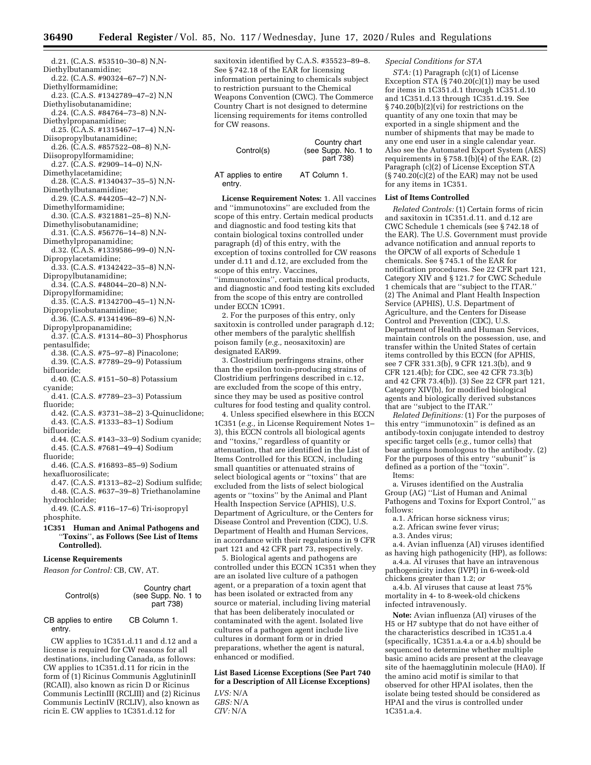- d.21. (C.A.S. #53510–30–8) N,N-Diethylbutanamidine;
- d.22. (C.A.S. #90324–67–7) N,N-Diethylformamidine;
- d.23. (C.A.S. #1342789–47–2) N,N Diethylisobutanamidine;
- d.24. (C.A.S. #84764–73–8) N,N-
- Diethylpropanamidine; d.25. (C.A.S. #1315467–17–4) N,N-
- Diisopropylbutanamidine; d.26. (C.A.S. #857522–08–8) N,N-
- Diisopropylformamidine; d.27. (C.A.S. #2909–14–0) N,N-
- Dimethylacetamidine;
- d.28. (C.A.S. #1340437–35–5) N,N-Dimethylbutanamidine;
- d.29. (C.A.S. #44205–42–7) N,N-
- Dimethylformamidine;
- d.30. (C.A.S. #321881–25–8) N,N-Dimethylisobutanamidine;
- d.31. (C.A.S. #56776–14–8) N,N-Dimethylpropanamidine;
- d.32. (C.A.S. #1339586–99–0) N,N-
- Dipropylacetamidine; d.33. (C.A.S. #1342422–35–8) N,N-
- Dipropylbutanamidine; d.34. (C.A.S. #48044–20–8) N,N-
- Dipropylformamidine;
- d.35. (C.A.S. #1342700–45–1) N,N-Dipropylisobutanamidine;
- d.36. (C.A.S. #1341496–89–6) N,N-Dipropylpropanamidine;
- d.37. (C.A.S. #1314–80–3) Phosphorus pentasulfide;
- d.38. (C.A.S. #75–97–8) Pinacolone;
- d.39. (C.A.S. #7789–29–9) Potassium bifluoride;
- d.40. (C.A.S. #151–50–8) Potassium cyanide;
- d.41. (C.A.S. #7789–23–3) Potassium fluoride;

d.42. (C.A.S. #3731–38–2) 3-Quinuclidone; d.43. (C.A.S. #1333–83–1) Sodium

bifluoride;

- d.44. (C.A.S. #143–33–9) Sodium cyanide; d.45. (C.A.S. #7681–49–4) Sodium fluoride;
- d.46. (C.A.S. #16893–85–9) Sodium
- hexafluorosilicate;
- d.47. (C.A.S. #1313–82–2) Sodium sulfide; d.48. (C.A.S. #637–39–8) Triethanolamine hydrochloride;
- d.49. (C.A.S. #116–17–6) Tri-isopropyl phosphite.
- **1C351 Human and Animal Pathogens and**  ''**Toxins**''**, as Follows (See List of Items Controlled).**

#### **License Requirements**

*Reason for Control:* CB, CW, AT.

| Control(s) | Country chart<br>(see Supp. No. 1 to<br>part 738) |
|------------|---------------------------------------------------|
|            |                                                   |

#### CB applies to entire entry. CB Column 1.

CW applies to 1C351.d.11 and d.12 and a license is required for CW reasons for all destinations, including Canada, as follows: CW applies to 1C351.d.11 for ricin in the form of (1) Ricinus Communis AgglutininII (RCAII), also known as ricin D or Ricinus Communis LectinIII (RCLIII) and (2) Ricinus Communis LectinIV (RCLIV), also known as ricin E. CW applies to 1C351.d.12 for

saxitoxin identified by C.A.S. #35523–89–8. See § 742.18 of the EAR for licensing information pertaining to chemicals subject to restriction pursuant to the Chemical Weapons Convention (CWC). The Commerce Country Chart is not designed to determine licensing requirements for items controlled for CW reasons.

| Control(s)                     | Country chart<br>(see Supp. No. 1 to<br>part 738) |
|--------------------------------|---------------------------------------------------|
| AT applies to entire<br>entry. | AT Column 1.                                      |

**License Requirement Notes:** 1. All vaccines and ''immunotoxins'' are excluded from the scope of this entry. Certain medical products and diagnostic and food testing kits that contain biological toxins controlled under paragraph (d) of this entry, with the exception of toxins controlled for CW reasons under d.11 and d.12, are excluded from the scope of this entry. Vaccines, ''immunotoxins'', certain medical products, and diagnostic and food testing kits excluded

from the scope of this entry are controlled under ECCN 1C991.

2. For the purposes of this entry, only saxitoxin is controlled under paragraph d.12; other members of the paralytic shellfish poison family (*e.g.,* neosaxitoxin) are designated EAR99.

3. Clostridium perfringens strains, other than the epsilon toxin-producing strains of Clostridium perfringens described in c.12, are excluded from the scope of this entry, since they may be used as positive control cultures for food testing and quality control.

4. Unless specified elsewhere in this ECCN 1C351 (*e.g.,* in License Requirement Notes 1– 3), this ECCN controls all biological agents and ''toxins,'' regardless of quantity or attenuation, that are identified in the List of Items Controlled for this ECCN, including small quantities or attenuated strains of select biological agents or ''toxins'' that are excluded from the lists of select biological agents or ''toxins'' by the Animal and Plant Health Inspection Service (APHIS), U.S. Department of Agriculture, or the Centers for Disease Control and Prevention (CDC), U.S. Department of Health and Human Services, in accordance with their regulations in 9 CFR part 121 and 42 CFR part 73, respectively.

5. Biological agents and pathogens are controlled under this ECCN 1C351 when they are an isolated live culture of a pathogen agent, or a preparation of a toxin agent that has been isolated or extracted from any source or material, including living material that has been deliberately inoculated or contaminated with the agent. Isolated live cultures of a pathogen agent include live cultures in dormant form or in dried preparations, whether the agent is natural, enhanced or modified.

**List Based License Exceptions (See Part 740 for a Description of All License Exceptions)** 

*LVS:* N/A *GBS:* N/A *CIV:* N/A

#### *Special Conditions for STA*

*STA:* (1) Paragraph (c)(1) of License Exception STA  $(S\bar{7}40.20(c)(1))$  may be used for items in 1C351.d.1 through 1C351.d.10 and 1C351.d.13 through 1C351.d.19. See § 740.20(b)(2)(vi) for restrictions on the quantity of any one toxin that may be exported in a single shipment and the number of shipments that may be made to any one end user in a single calendar year. Also see the Automated Export System (AES) requirements in  $\S 758.1(b)(4)$  of the EAR. (2) Paragraph (c)(2) of License Exception STA  $(S 740.20(c)(2)$  of the EAR) may not be used for any items in 1C351.

#### **List of Items Controlled**

*Related Controls:* (1) Certain forms of ricin and saxitoxin in 1C351.d.11. and d.12 are CWC Schedule 1 chemicals (see § 742.18 of the EAR). The U.S. Government must provide advance notification and annual reports to the OPCW of all exports of Schedule 1 chemicals. See § 745.1 of the EAR for notification procedures. See 22 CFR part 121, Category XIV and § 121.7 for CWC Schedule 1 chemicals that are ''subject to the ITAR.'' (2) The Animal and Plant Health Inspection Service (APHIS), U.S. Department of Agriculture, and the Centers for Disease Control and Prevention (CDC), U.S. Department of Health and Human Services, maintain controls on the possession, use, and transfer within the United States of certain items controlled by this ECCN (for APHIS, see 7 CFR 331.3(b), 9 CFR 121.3(b), and 9 CFR 121.4(b); for CDC, see 42 CFR 73.3(b) and 42 CFR 73.4(b)). (3) See 22 CFR part 121, Category XIV(b), for modified biological agents and biologically derived substances that are ''subject to the ITAR.''

*Related Definitions:* (1) For the purposes of this entry ''immunotoxin'' is defined as an antibody-toxin conjugate intended to destroy specific target cells (*e.g.,* tumor cells) that bear antigens homologous to the antibody. (2) For the purposes of this entry ''subunit'' is defined as a portion of the ''toxin''.

Items:

a. Viruses identified on the Australia Group (AG) ''List of Human and Animal Pathogens and Toxins for Export Control,'' as follows:

- a.1. African horse sickness virus;
- a.2. African swine fever virus;

a.3. Andes virus;

a.4. Avian influenza (AI) viruses identified as having high pathogenicity (HP), as follows:

a.4.a. AI viruses that have an intravenous pathogenicity index (IVPI) in 6-week-old chickens greater than 1.2; *or* 

a.4.b. AI viruses that cause at least 75% mortality in 4- to 8-week-old chickens infected intravenously.

**Note:** Avian influenza (AI) viruses of the H5 or H7 subtype that do not have either of the characteristics described in 1C351.a.4 (specifically, 1C351.a.4.a or a.4.b) should be sequenced to determine whether multiple basic amino acids are present at the cleavage site of the haemagglutinin molecule (HA0). If the amino acid motif is similar to that observed for other HPAI isolates, then the isolate being tested should be considered as HPAI and the virus is controlled under 1C351.a.4.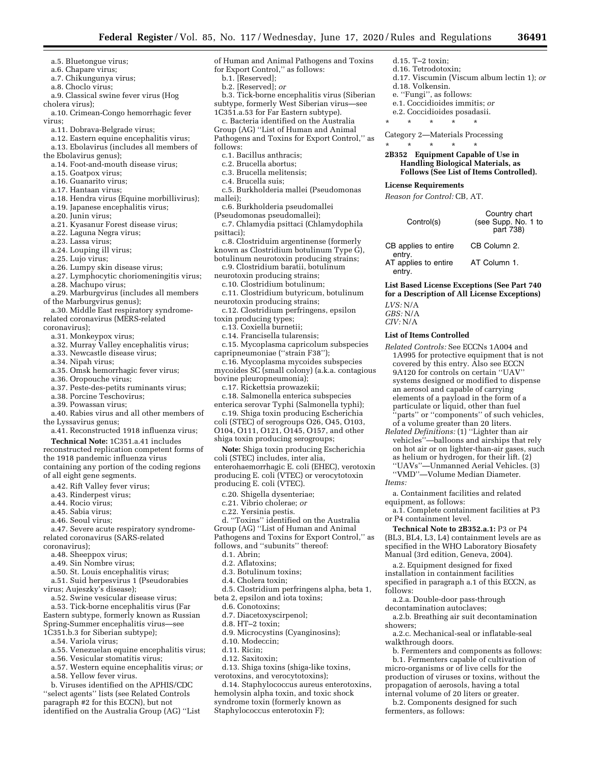d.15. T–2 toxin; d.16. Tetrodotoxin;

d.18. Volkensin. e. ''Fungi'', as follows: e.1. Coccidioides immitis; *or*  e.2. Coccidioides posadasii. \* \* \* \* \* Category 2—Materials Processing \* \* \* \* \*

**License Requirements**  *Reason for Control:* CB, AT.

Control(s)

CB applies to entire

AT applies to entire

**List of Items Controlled** 

entry.

entry.

*LVS:* N/A *GBS:* N/A *CIV:* N/A

*Items:* 

follows:

showers;

walkthrough doors.

fermenters, as follows:

d.17. Viscumin (Viscum album lectin 1); *or* 

Country chart (see Supp. No. 1 to part 738)

CB Column 2.

AT Column 1.

**2B352 Equipment Capable of Use in Handling Biological Materials, as Follows (See List of Items Controlled).** 

**List Based License Exceptions (See Part 740 for a Description of All License Exceptions)** 

*Related Controls:* See ECCNs 1A004 and 1A995 for protective equipment that is not covered by this entry. Also see ECCN 9A120 for controls on certain ''UAV'' systems designed or modified to dispense an aerosol and capable of carrying elements of a payload in the form of a particulate or liquid, other than fuel 'parts'' or "components" of such vehicles, of a volume greater than 20 liters. *Related Definitions:* (1) ''Lighter than air vehicles''—balloons and airships that rely on hot air or on lighter-than-air gases, such as helium or hydrogen, for their lift. (2) ''UAVs''—Unmanned Aerial Vehicles. (3) ''VMD''—Volume Median Diameter.

a. Containment facilities and related

a.1. Complete containment facilities at P3

**Technical Note to 2B352.a.1:** P3 or P4 (BL3, BL4, L3, L4) containment levels are as specified in the WHO Laboratory Biosafety Manual (3rd edition, Geneva, 2004). a.2. Equipment designed for fixed installation in containment facilities specified in paragraph a.1 of this ECCN, as

a.2.a. Double-door pass-through decontamination autoclaves;

a.2.b. Breathing air suit decontamination

a.2.c. Mechanical-seal or inflatable-seal

b. Fermenters and components as follows: b.1. Fermenters capable of cultivation of micro-organisms or of live cells for the production of viruses or toxins, without the propagation of aerosols, having a total internal volume of 20 liters or greater. b.2. Components designed for such

equipment, as follows:

or P4 containment level.

- a.5. Bluetongue virus;
- a.6. Chapare virus;
- a.7. Chikungunya virus;
- a.8. Choclo virus;
- a.9. Classical swine fever virus (Hog
- cholera virus);

a.10. Crimean-Congo hemorrhagic fever virus;

- a.11. Dobrava-Belgrade virus;
- a.12. Eastern equine encephalitis virus;
- a.13. Ebolavirus (includes all members of the Ebolavirus genus);
- a.14. Foot-and-mouth disease virus;
- a.15. Goatpox virus;
- a.16. Guanarito virus;
- 
- a.17. Hantaan virus;
- a.18. Hendra virus (Equine morbillivirus);
- a.19. Japanese encephalitis virus;
- a.20. Junin virus;
- a.21. Kyasanur Forest disease virus;
- a.22. Laguna Negra virus;
- a.23. Lassa virus;
- a.24. Louping ill virus;
- a.25. Lujo virus;
- a.26. Lumpy skin disease virus;
- a.27. Lymphocytic choriomeningitis virus;
- a.28. Machupo virus;
- a.29. Marburgvirus (includes all members of the Marburgvirus genus);
- a.30. Middle East respiratory syndromerelated coronavirus (MERS-related
- coronavirus);
	- a.31. Monkeypox virus;
	- a.32. Murray Valley encephalitis virus;
	- a.33. Newcastle disease virus;
	- a.34. Nipah virus;
	- a.35. Omsk hemorrhagic fever virus;
	- a.36. Oropouche virus;
	- a.37. Peste-des-petits ruminants virus;
	- a.38. Porcine Teschovirus;
	- a.39. Powassan virus;
- a.40. Rabies virus and all other members of the Lyssavirus genus;
	- a.41. Reconstructed 1918 influenza virus;
- **Technical Note:** 1C351.a.41 includes reconstructed replication competent forms of the 1918 pandemic influenza virus containing any portion of the coding regions of all eight gene segments.
	- a.42. Rift Valley fever virus;
	- a.43. Rinderpest virus;
	- a.44. Rocio virus;
	- a.45. Sabia virus;
	- a.46. Seoul virus;
- a.47. Severe acute respiratory syndromerelated coronavirus (SARS-related
- coronavirus);
	- a.48. Sheeppox virus;
	- a.49. Sin Nombre virus;
- a.50. St. Louis encephalitis virus;
- a.51. Suid herpesvirus 1 (Pseudorabies virus; Aujeszky's disease);
- a.52. Swine vesicular disease virus;
- a.53. Tick-borne encephalitis virus (Far Eastern subtype, formerly known as Russian Spring-Summer encephalitis virus—see
- 1C351.b.3 for Siberian subtype);
	- a.54. Variola virus;
	- a.55. Venezuelan equine encephalitis virus;
	- a.56. Vesicular stomatitis virus;
	- a.57. Western equine encephalitis virus; *or*
	- a.58. Yellow fever virus.
	-

b. Viruses identified on the APHIS/CDC ''select agents'' lists (see Related Controls paragraph #2 for this ECCN), but not identified on the Australia Group (AG) ''List of Human and Animal Pathogens and Toxins for Export Control,'' as follows:

- b.1. [Reserved];
- b.2. [Reserved]; *or*
- b.3. Tick-borne encephalitis virus (Siberian

subtype, formerly West Siberian virus—see 1C351.a.53 for Far Eastern subtype).

- c. Bacteria identified on the Australia Group (AG) ''List of Human and Animal Pathogens and Toxins for Export Control,'' as follows:
	- c.1. Bacillus anthracis;
	- c.2. Brucella abortus;
	- c.3. Brucella melitensis;
	- c.4. Brucella suis;
- c.5. Burkholderia mallei (Pseudomonas
- mallei); c.6. Burkholderia pseudomallei
- (Pseudomonas pseudomallei);

c.7. Chlamydia psittaci (Chlamydophila psittaci);

- c.8. Clostriduim argentinense (formerly
- known as Clostridium botulinum Type G), botulinum neurotoxin producing strains;
- c.9. Clostridium baratii, botulinum
- neurotoxin producing strains;
- c.10. Clostridium botulinum; c.11. Clostridium butyricum, botulinum neurotoxin producing strains;
- c.12. Clostridium perfringens, epsilon
- toxin producing types;
	- c.13. Coxiella burnetii;
	- c.14. Francisella tularensis;
- c.15. Mycoplasma capricolum subspecies capripneumoniae (''strain F38'');
- c.16. Mycoplasma mycoides subspecies mycoides SC (small colony) (a.k.a. contagious bovine pleuropneumonia);
	- c.17. Rickettsia prowazekii;
- c.18. Salmonella enterica subspecies enterica serovar Typhi (Salmonella typhi);
- c.19. Shiga toxin producing Escherichia coli (STEC) of serogroups O26, O45, O103, O104, O111, O121, O145, O157, and other shiga toxin producing serogroups;
- **Note:** Shiga toxin producing Escherichia

coli (STEC) includes, inter alia, enterohaemorrhagic E. coli (EHEC), verotoxin producing E. coli (VTEC) or verocytotoxin producing E. coli (VTEC).

- c.20. Shigella dysenteriae;
- c.21. Vibrio cholerae; *or*

beta 2, epsilon and iota toxins;

d.9. Microcystins (Cyanginosins);

d.13. Shiga toxins (shiga-like toxins, verotoxins, and verocytotoxins);

d.14. Staphylococcus aureus enterotoxins, hemolysin alpha toxin, and toxic shock syndrome toxin (formerly known as Staphylococcus enterotoxin F);

- c.22. Yersinia pestis.
- d. ''Toxins'' identified on the Australia Group (AG) ''List of Human and Animal Pathogens and Toxins for Export Control,'' as

d.5. Clostridium perfringens alpha, beta 1,

- follows, and "subunits" thereof: d.1. Abrin;
	- d.2. Aflatoxins;
	- d.3. Botulinum toxins; d.4. Cholera toxin;

d.6. Conotoxins; d.7. Diacetoxyscirpenol; d.8. HT–2 toxin;

d.10. Modeccin; d.11. Ricin; d.12. Saxitoxin;